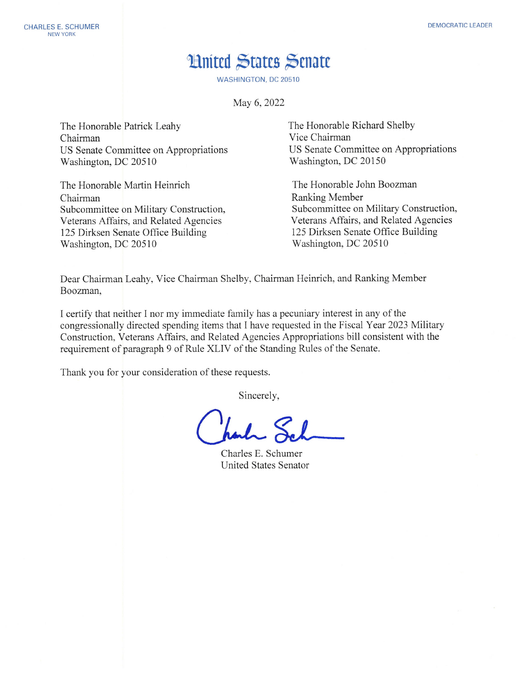## **Hnited States Senate**

**WASHINGTON, DC 20510** 

May 6, 2022

The Honorable Patrick Leahy Chairman US Senate Committee on Appropriations Washington, DC 20510

The Honorable Martin Heinrich Chairman Subcommittee on Military Construction, Veterans Affairs, and Related Agencies 125 Dirksen Senate Office Building Washington, DC 20510

The Honorable Richard Shelby Vice Chairman US Senate Committee on Appropriations Washington, DC 20150

The Honorable John Boozman **Ranking Member** Subcommittee on Military Construction, Veterans Affairs, and Related Agencies 125 Dirksen Senate Office Building Washington, DC 20510

Dear Chairman Leahy, Vice Chairman Shelby, Chairman Heinrich, and Ranking Member Boozman.

I certify that neither I nor my immediate family has a pecuniary interest in any of the congressionally directed spending items that I have requested in the Fiscal Year 2023 Military Construction, Veterans Affairs, and Related Agencies Appropriations bill consistent with the requirement of paragraph 9 of Rule XLIV of the Standing Rules of the Senate.

Thank you for your consideration of these requests.

Sincerely,

Charles E. Schumer **United States Senator**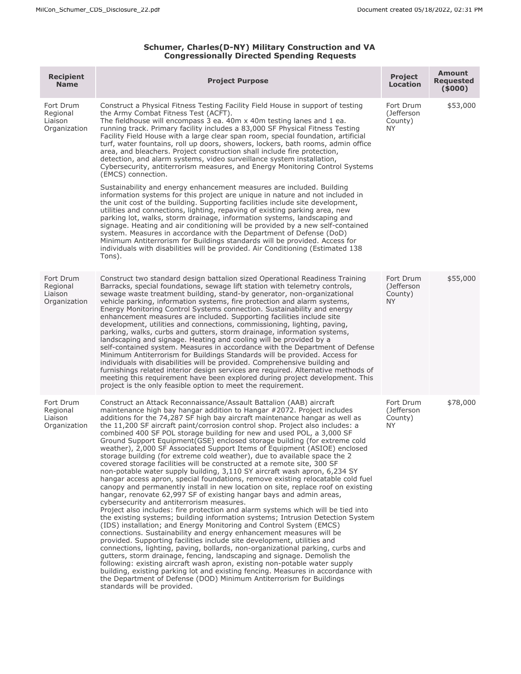## **Schumer, Charles(D-NY) Military Construction and VA Congressionally Directed Spending Requests**

| <b>Recipient</b><br><b>Name</b>                  | <b>Project Purpose</b>                                                                                                                                                                                                                                                                                                                                                                                                                                                                                                                                                                                                                                                                                                                                                                                                                                                                                                                                                                                                                                                                                                                                                                                                                                                                                                                                                                                                                                                                                                                                                                                                                                                                                                                                                                                                                                                                                               | <b>Project</b><br><b>Location</b>               | <b>Amount</b><br><b>Requested</b><br>(5000) |
|--------------------------------------------------|----------------------------------------------------------------------------------------------------------------------------------------------------------------------------------------------------------------------------------------------------------------------------------------------------------------------------------------------------------------------------------------------------------------------------------------------------------------------------------------------------------------------------------------------------------------------------------------------------------------------------------------------------------------------------------------------------------------------------------------------------------------------------------------------------------------------------------------------------------------------------------------------------------------------------------------------------------------------------------------------------------------------------------------------------------------------------------------------------------------------------------------------------------------------------------------------------------------------------------------------------------------------------------------------------------------------------------------------------------------------------------------------------------------------------------------------------------------------------------------------------------------------------------------------------------------------------------------------------------------------------------------------------------------------------------------------------------------------------------------------------------------------------------------------------------------------------------------------------------------------------------------------------------------------|-------------------------------------------------|---------------------------------------------|
| Fort Drum<br>Regional<br>Liaison<br>Organization | Construct a Physical Fitness Testing Facility Field House in support of testing<br>the Army Combat Fitness Test (ACFT).<br>The fieldhouse will encompass 3 ea. 40m x 40m testing lanes and 1 ea.<br>running track. Primary facility includes a 83,000 SF Physical Fitness Testing<br>Facility Field House with a large clear span room, special foundation, artificial<br>turf, water fountains, roll up doors, showers, lockers, bath rooms, admin office<br>area, and bleachers. Project construction shall include fire protection,<br>detection, and alarm systems, video surveillance system installation,<br>Cybersecurity, antiterrorism measures, and Energy Monitoring Control Systems<br>(EMCS) connection.<br>Sustainability and energy enhancement measures are included. Building<br>information systems for this project are unique in nature and not included in<br>the unit cost of the building. Supporting facilities include site development,<br>utilities and connections, lighting, repaving of existing parking area, new<br>parking lot, walks, storm drainage, information systems, landscaping and<br>signage. Heating and air conditioning will be provided by a new self-contained<br>system. Measures in accordance with the Department of Defense (DoD)<br>Minimum Antiterrorism for Buildings standards will be provided. Access for<br>individuals with disabilities will be provided. Air Conditioning (Estimated 138<br>Tons).                                                                                                                                                                                                                                                                                                                                                                                                                                                     | Fort Drum<br>(Jefferson<br>County)<br><b>NY</b> | \$53,000                                    |
| Fort Drum<br>Regional<br>Liaison<br>Organization | Construct two standard design battalion sized Operational Readiness Training<br>Barracks, special foundations, sewage lift station with telemetry controls,<br>sewage waste treatment building, stand-by generator, non-organizational<br>vehicle parking, information systems, fire protection and alarm systems,<br>Energy Monitoring Control Systems connection. Sustainability and energy<br>enhancement measures are included. Supporting facilities include site<br>development, utilities and connections, commissioning, lighting, paving,<br>parking, walks, curbs and gutters, storm drainage, information systems,<br>landscaping and signage. Heating and cooling will be provided by a<br>self-contained system. Measures in accordance with the Department of Defense<br>Minimum Antiterrorism for Buildings Standards will be provided. Access for<br>individuals with disabilities will be provided. Comprehensive building and<br>furnishings related interior design services are required. Alternative methods of<br>meeting this requirement have been explored during project development. This<br>project is the only feasible option to meet the requirement.                                                                                                                                                                                                                                                                                                                                                                                                                                                                                                                                                                                                                                                                                                                                 | Fort Drum<br>(Jefferson<br>County)<br><b>NY</b> | \$55,000                                    |
| Fort Drum<br>Regional<br>Liaison<br>Organization | Construct an Attack Reconnaissance/Assault Battalion (AAB) aircraft<br>maintenance high bay hangar addition to Hangar #2072. Project includes<br>additions for the 74,287 SF high bay aircraft maintenance hangar as well as<br>the 11,200 SF aircraft paint/corrosion control shop. Project also includes: a<br>combined 400 SF POL storage building for new and used POL, a 3,000 SF<br>Ground Support Equipment(GSE) enclosed storage building (for extreme cold<br>weather), 2,000 SF Associated Support Items of Equipment (ASIOE) enclosed<br>storage building (for extreme cold weather), due to available space the 2<br>covered storage facilities will be constructed at a remote site, 300 SF<br>non-potable water supply building, 3,110 SY aircraft wash apron, 6,234 SY<br>hangar access apron, special foundations, remove existing relocatable cold fuel<br>canopy and permanently install in new location on site, replace roof on existing<br>hangar, renovate 62,997 SF of existing hangar bays and admin areas,<br>cybersecurity and antiterrorism measures.<br>Project also includes: fire protection and alarm systems which will be tied into<br>the existing systems; building information systems; Intrusion Detection System<br>(IDS) installation; and Energy Monitoring and Control System (EMCS)<br>connections. Sustainability and energy enhancement measures will be<br>provided. Supporting facilities include site development, utilities and<br>connections, lighting, paving, bollards, non-organizational parking, curbs and<br>gutters, storm drainage, fencing, landscaping and signage. Demolish the<br>following: existing aircraft wash apron, existing non-potable water supply<br>building, existing parking lot and existing fencing. Measures in accordance with<br>the Department of Defense (DOD) Minimum Antiterrorism for Buildings<br>standards will be provided. | Fort Drum<br>(Jefferson<br>County)<br>NY.       | \$78,000                                    |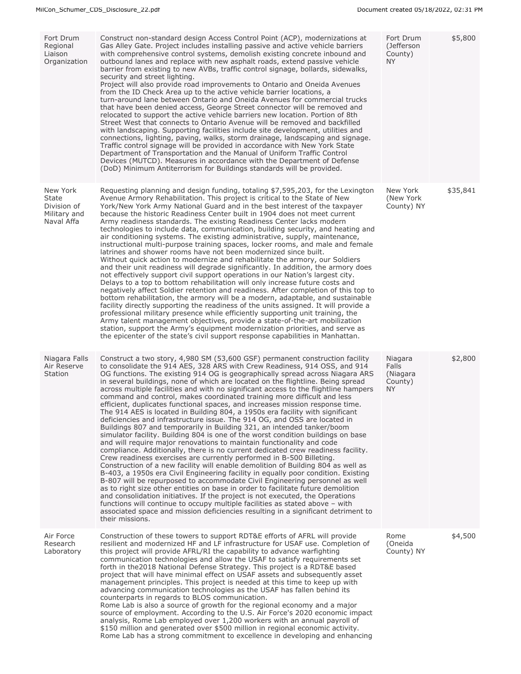| Fort Drum<br>Regional<br>Liaison<br>Organization                      | Construct non-standard design Access Control Point (ACP), modernizations at<br>Gas Alley Gate. Project includes installing passive and active vehicle barriers<br>with comprehensive control systems, demolish existing concrete inbound and<br>outbound lanes and replace with new asphalt roads, extend passive vehicle<br>barrier from existing to new AVBs, traffic control signage, bollards, sidewalks,<br>security and street lighting.<br>Project will also provide road improvements to Ontario and Oneida Avenues<br>from the ID Check Area up to the active vehicle barrier locations, a<br>turn-around lane between Ontario and Oneida Avenues for commercial trucks<br>that have been denied access, George Street connector will be removed and<br>relocated to support the active vehicle barriers new location. Portion of 8th<br>Street West that connects to Ontario Avenue will be removed and backfilled<br>with landscaping. Supporting facilities include site development, utilities and<br>connections, lighting, paving, walks, storm drainage, landscaping and signage.<br>Traffic control signage will be provided in accordance with New York State<br>Department of Transportation and the Manual of Uniform Traffic Control<br>Devices (MUTCD). Measures in accordance with the Department of Defense<br>(DoD) Minimum Antiterrorism for Buildings standards will be provided.                                                                                                                                                                                                                                                                                                                                                           | Fort Drum<br>(Jefferson<br>County)<br>NY.      | \$5,800  |
|-----------------------------------------------------------------------|------------------------------------------------------------------------------------------------------------------------------------------------------------------------------------------------------------------------------------------------------------------------------------------------------------------------------------------------------------------------------------------------------------------------------------------------------------------------------------------------------------------------------------------------------------------------------------------------------------------------------------------------------------------------------------------------------------------------------------------------------------------------------------------------------------------------------------------------------------------------------------------------------------------------------------------------------------------------------------------------------------------------------------------------------------------------------------------------------------------------------------------------------------------------------------------------------------------------------------------------------------------------------------------------------------------------------------------------------------------------------------------------------------------------------------------------------------------------------------------------------------------------------------------------------------------------------------------------------------------------------------------------------------------------------------------------------------------------------------------------------------------------|------------------------------------------------|----------|
| New York<br><b>State</b><br>Division of<br>Military and<br>Naval Affa | Requesting planning and design funding, totaling \$7,595,203, for the Lexington<br>Avenue Armory Rehabilitation. This project is critical to the State of New<br>York/New York Army National Guard and in the best interest of the taxpayer<br>because the historic Readiness Center built in 1904 does not meet current<br>Army readiness standards. The existing Readiness Center lacks modern<br>technologies to include data, communication, building security, and heating and<br>air conditioning systems. The existing administrative, supply, maintenance,<br>instructional multi-purpose training spaces, locker rooms, and male and female<br>latrines and shower rooms have not been modernized since built.<br>Without quick action to modernize and rehabilitate the armory, our Soldiers<br>and their unit readiness will degrade significantly. In addition, the armory does<br>not effectively support civil support operations in our Nation's largest city.<br>Delays to a top to bottom rehabilitation will only increase future costs and<br>negatively affect Soldier retention and readiness. After completion of this top to<br>bottom rehabilitation, the armory will be a modern, adaptable, and sustainable<br>facility directly supporting the readiness of the units assigned. It will provide a<br>professional military presence while efficiently supporting unit training, the<br>Army talent management objectives, provide a state-of-the-art mobilization<br>station, support the Army's equipment modernization priorities, and serve as<br>the epicenter of the state's civil support response capabilities in Manhattan.                                                                                                         | New York<br>(New York)<br>County) NY           | \$35,841 |
| Niagara Falls<br>Air Reserve<br>Station                               | Construct a two story, 4,980 SM (53,600 GSF) permanent construction facility<br>to consolidate the 914 AES, 328 ARS with Crew Readiness, 914 OSS, and 914<br>OG functions. The existing 914 OG is geographically spread across Niagara ARS<br>in several buildings, none of which are located on the flightline. Being spread<br>across multiple facilities and with no significant access to the flightline hampers<br>command and control, makes coordinated training more difficult and less<br>efficient, duplicates functional spaces, and increases mission response time.<br>The 914 AES is located in Building 804, a 1950s era facility with significant<br>deficiencies and infrastructure issue. The 914 OG, and OSS are located in<br>Buildings 807 and temporarily in Building 321, an intended tanker/boom<br>simulator facility. Building 804 is one of the worst condition buildings on base<br>and will require major renovations to maintain functionality and code<br>compliance. Additionally, there is no current dedicated crew readiness facility.<br>Crew readiness exercises are currently performed in B-500 Billeting.<br>Construction of a new facility will enable demolition of Building 804 as well as<br>B-403, a 1950s era Civil Engineering facility in equally poor condition. Existing<br>B-807 will be repurposed to accommodate Civil Engineering personnel as well<br>as to right size other entities on base in order to facilitate future demolition<br>and consolidation initiatives. If the project is not executed, the Operations<br>functions will continue to occupy multiple facilities as stated above - with<br>associated space and mission deficiencies resulting in a significant detriment to<br>their missions. | Niagara<br>Falls<br>(Niagara<br>County)<br>NY. | \$2,800  |
| Air Force<br>Research<br>Laboratory                                   | Construction of these towers to support RDT&E efforts of AFRL will provide<br>resilient and modernized HF and LF infrastructure for USAF use. Completion of<br>this project will provide AFRL/RI the capability to advance warfighting<br>communication technologies and allow the USAF to satisfy requirements set<br>forth in the 2018 National Defense Strategy. This project is a RDT&E based<br>project that will have minimal effect on USAF assets and subsequently asset<br>management principles. This project is needed at this time to keep up with<br>advancing communication technologies as the USAF has fallen behind its<br>counterparts in regards to BLOS communication.<br>Rome Lab is also a source of growth for the regional economy and a major<br>source of employment. According to the U.S. Air Force's 2020 economic impact<br>analysis, Rome Lab employed over 1,200 workers with an annual payroll of<br>\$150 million and generated over \$500 million in regional economic activity.<br>Rome Lab has a strong commitment to excellence in developing and enhancing                                                                                                                                                                                                                                                                                                                                                                                                                                                                                                                                                                                                                                                                      | Rome<br>(Oneida<br>County) NY                  | \$4,500  |